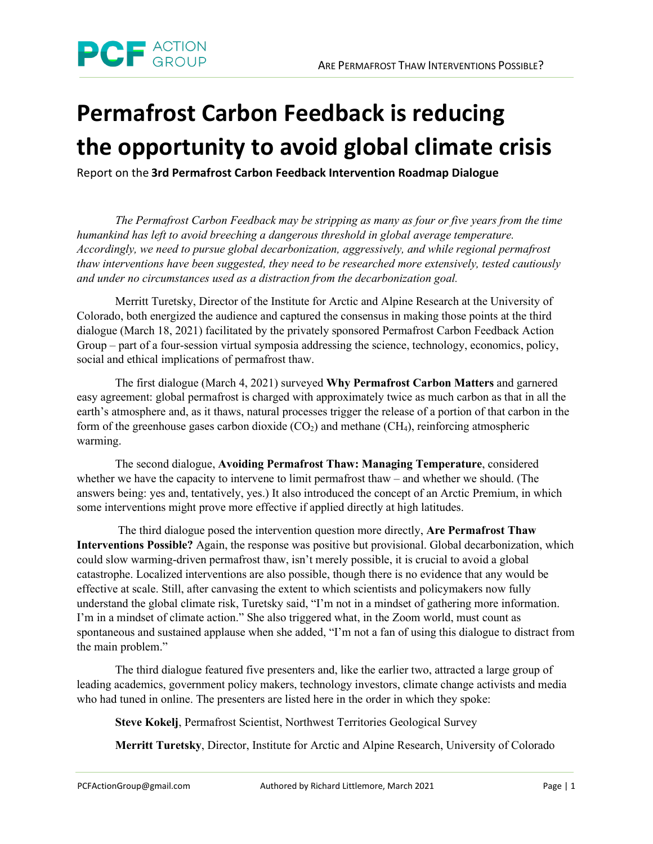

## **Permafrost Carbon Feedback is reducing the opportunity to avoid global climate crisis**

Report on the **3rd Permafrost Carbon Feedback Intervention Roadmap Dialogue**

*The Permafrost Carbon Feedback may be stripping as many as four or five years from the time humankind has left to avoid breeching a dangerous threshold in global average temperature. Accordingly, we need to pursue global decarbonization, aggressively, and while regional permafrost thaw interventions have been suggested, they need to be researched more extensively, tested cautiously and under no circumstances used as a distraction from the decarbonization goal.*

Merritt Turetsky, Director of the Institute for Arctic and Alpine Research at the University of Colorado, both energized the audience and captured the consensus in making those points at the third dialogue (March 18, 2021) facilitated by the privately sponsored Permafrost Carbon Feedback Action Group – part of a four-session virtual symposia addressing the science, technology, economics, policy, social and ethical implications of permafrost thaw.

The first dialogue (March 4, 2021) surveyed **Why Permafrost Carbon Matters** and garnered easy agreement: global permafrost is charged with approximately twice as much carbon as that in all the earth's atmosphere and, as it thaws, natural processes trigger the release of a portion of that carbon in the form of the greenhouse gases carbon dioxide  $(CO<sub>2</sub>)$  and methane  $(CH<sub>4</sub>)$ , reinforcing atmospheric warming.

The second dialogue, **Avoiding Permafrost Thaw: Managing Temperature**, considered whether we have the capacity to intervene to limit permafrost thaw – and whether we should. (The answers being: yes and, tentatively, yes.) It also introduced the concept of an Arctic Premium, in which some interventions might prove more effective if applied directly at high latitudes.

The third dialogue posed the intervention question more directly, **Are Permafrost Thaw Interventions Possible?** Again, the response was positive but provisional. Global decarbonization, which could slow warming-driven permafrost thaw, isn't merely possible, it is crucial to avoid a global catastrophe. Localized interventions are also possible, though there is no evidence that any would be effective at scale. Still, after canvasing the extent to which scientists and policymakers now fully understand the global climate risk, Turetsky said, "I'm not in a mindset of gathering more information. I'm in a mindset of climate action." She also triggered what, in the Zoom world, must count as spontaneous and sustained applause when she added, "I'm not a fan of using this dialogue to distract from the main problem."

The third dialogue featured five presenters and, like the earlier two, attracted a large group of leading academics, government policy makers, technology investors, climate change activists and media who had tuned in online. The presenters are listed here in the order in which they spoke:

**Steve Kokelj**, Permafrost Scientist, Northwest Territories Geological Survey

**Merritt Turetsky**, Director, Institute for Arctic and Alpine Research, University of Colorado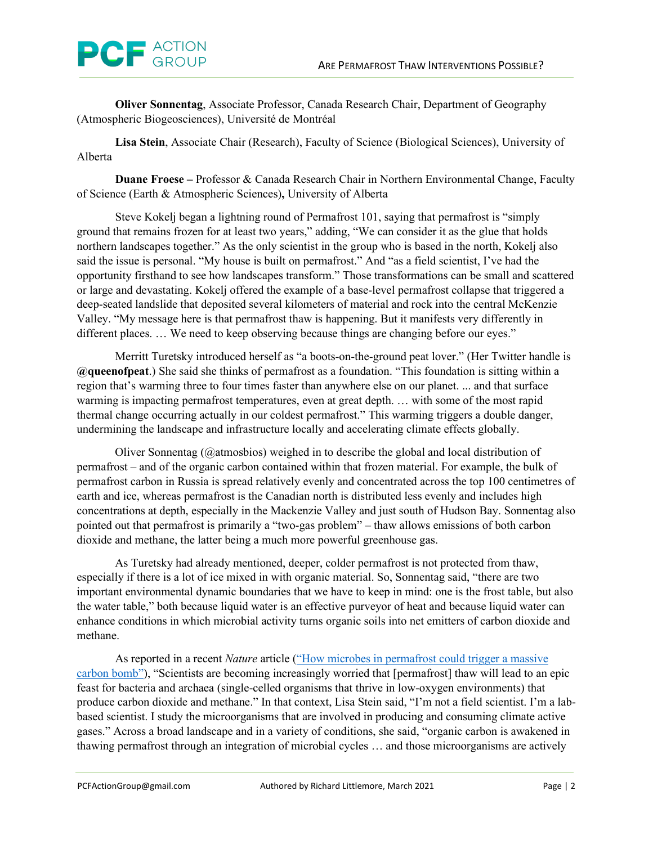

**Oliver Sonnentag**, Associate Professor, Canada Research Chair, Department of Geography (Atmospheric Biogeosciences), Université de Montréal

**Lisa Stein**, Associate Chair (Research), Faculty of Science (Biological Sciences), University of Alberta

**Duane Froese –** Professor & Canada Research Chair in Northern Environmental Change, Faculty of Science (Earth & Atmospheric Sciences)**,** University of Alberta

Steve Kokelj began a lightning round of Permafrost 101, saying that permafrost is "simply ground that remains frozen for at least two years," adding, "We can consider it as the glue that holds northern landscapes together." As the only scientist in the group who is based in the north, Kokelj also said the issue is personal. "My house is built on permafrost." And "as a field scientist, I've had the opportunity firsthand to see how landscapes transform." Those transformations can be small and scattered or large and devastating. Kokelj offered the example of a base-level permafrost collapse that triggered a deep-seated landslide that deposited several kilometers of material and rock into the central McKenzie Valley. "My message here is that permafrost thaw is happening. But it manifests very differently in different places. … We need to keep observing because things are changing before our eyes."

Merritt Turetsky introduced herself as "a boots-on-the-ground peat lover." (Her Twitter handle is **@queenofpeat**.) She said she thinks of permafrost as a foundation. "This foundation is sitting within a region that's warming three to four times faster than anywhere else on our planet. ... and that surface warming is impacting permafrost temperatures, even at great depth. … with some of the most rapid thermal change occurring actually in our coldest permafrost." This warming triggers a double danger, undermining the landscape and infrastructure locally and accelerating climate effects globally.

Oliver Sonnentag (@atmosbios) weighed in to describe the global and local distribution of permafrost – and of the organic carbon contained within that frozen material. For example, the bulk of permafrost carbon in Russia is spread relatively evenly and concentrated across the top 100 centimetres of earth and ice, whereas permafrost is the Canadian north is distributed less evenly and includes high concentrations at depth, especially in the Mackenzie Valley and just south of Hudson Bay. Sonnentag also pointed out that permafrost is primarily a "two-gas problem" – thaw allows emissions of both carbon dioxide and methane, the latter being a much more powerful greenhouse gas.

As Turetsky had already mentioned, deeper, colder permafrost is not protected from thaw, especially if there is a lot of ice mixed in with organic material. So, Sonnentag said, "there are two important environmental dynamic boundaries that we have to keep in mind: one is the frost table, but also the water table," both because liquid water is an effective purveyor of heat and because liquid water can enhance conditions in which microbial activity turns organic soils into net emitters of carbon dioxide and methane.

As reported in a recent *Nature* article [\("How microbes in permafrost could trigger a massive](https://www.nature.com/articles/d41586-021-00659-y)  [carbon bomb"\)](https://www.nature.com/articles/d41586-021-00659-y), "Scientists are becoming increasingly worried that [permafrost] thaw will lead to an epic feast for bacteria and archaea (single-celled organisms that thrive in low-oxygen environments) that produce carbon dioxide and methane." In that context, Lisa Stein said, "I'm not a field scientist. I'm a labbased scientist. I study the microorganisms that are involved in producing and consuming climate active gases." Across a broad landscape and in a variety of conditions, she said, "organic carbon is awakened in thawing permafrost through an integration of microbial cycles … and those microorganisms are actively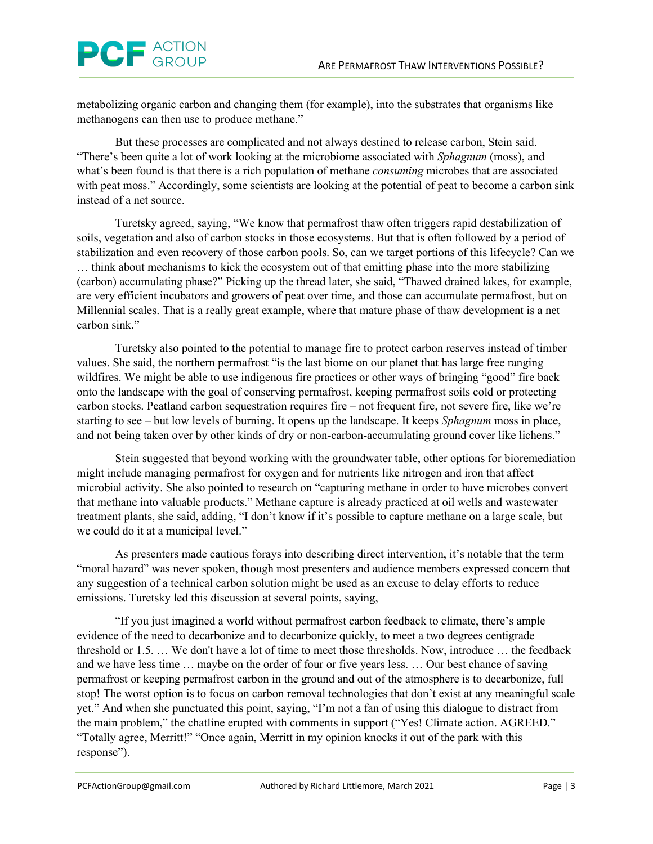

metabolizing organic carbon and changing them (for example), into the substrates that organisms like methanogens can then use to produce methane."

But these processes are complicated and not always destined to release carbon, Stein said. "There's been quite a lot of work looking at the microbiome associated with *Sphagnum* (moss), and what's been found is that there is a rich population of methane *consuming* microbes that are associated with peat moss." Accordingly, some scientists are looking at the potential of peat to become a carbon sink instead of a net source.

Turetsky agreed, saying, "We know that permafrost thaw often triggers rapid destabilization of soils, vegetation and also of carbon stocks in those ecosystems. But that is often followed by a period of stabilization and even recovery of those carbon pools. So, can we target portions of this lifecycle? Can we … think about mechanisms to kick the ecosystem out of that emitting phase into the more stabilizing (carbon) accumulating phase?" Picking up the thread later, she said, "Thawed drained lakes, for example, are very efficient incubators and growers of peat over time, and those can accumulate permafrost, but on Millennial scales. That is a really great example, where that mature phase of thaw development is a net carbon sink."

Turetsky also pointed to the potential to manage fire to protect carbon reserves instead of timber values. She said, the northern permafrost "is the last biome on our planet that has large free ranging wildfires. We might be able to use indigenous fire practices or other ways of bringing "good" fire back onto the landscape with the goal of conserving permafrost, keeping permafrost soils cold or protecting carbon stocks. Peatland carbon sequestration requires fire – not frequent fire, not severe fire, like we're starting to see – but low levels of burning. It opens up the landscape. It keeps *Sphagnum* moss in place, and not being taken over by other kinds of dry or non-carbon-accumulating ground cover like lichens."

Stein suggested that beyond working with the groundwater table, other options for bioremediation might include managing permafrost for oxygen and for nutrients like nitrogen and iron that affect microbial activity. She also pointed to research on "capturing methane in order to have microbes convert that methane into valuable products." Methane capture is already practiced at oil wells and wastewater treatment plants, she said, adding, "I don't know if it's possible to capture methane on a large scale, but we could do it at a municipal level."

As presenters made cautious forays into describing direct intervention, it's notable that the term "moral hazard" was never spoken, though most presenters and audience members expressed concern that any suggestion of a technical carbon solution might be used as an excuse to delay efforts to reduce emissions. Turetsky led this discussion at several points, saying,

"If you just imagined a world without permafrost carbon feedback to climate, there's ample evidence of the need to decarbonize and to decarbonize quickly, to meet a two degrees centigrade threshold or 1.5. … We don't have a lot of time to meet those thresholds. Now, introduce … the feedback and we have less time … maybe on the order of four or five years less. … Our best chance of saving permafrost or keeping permafrost carbon in the ground and out of the atmosphere is to decarbonize, full stop! The worst option is to focus on carbon removal technologies that don't exist at any meaningful scale yet." And when she punctuated this point, saying, "I'm not a fan of using this dialogue to distract from the main problem," the chatline erupted with comments in support ("Yes! Climate action. AGREED." "Totally agree, Merritt!" "Once again, Merritt in my opinion knocks it out of the park with this response").